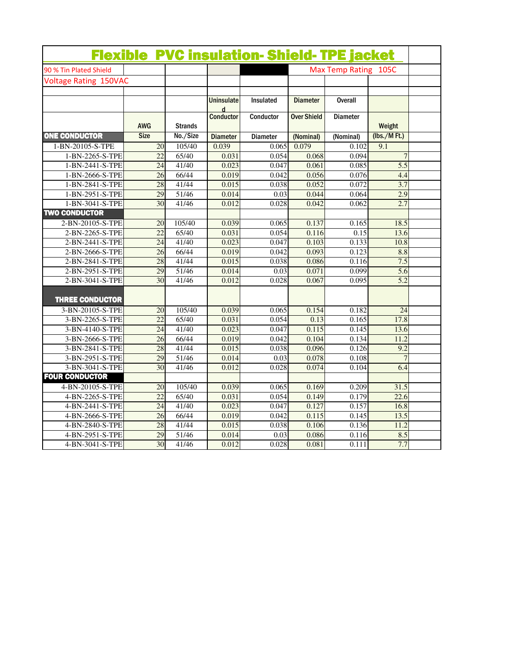|                              |                 |                |                            | <b>Flexible PVC insulation- Shield-TPE jacket</b> |                      |                 |                |  |
|------------------------------|-----------------|----------------|----------------------------|---------------------------------------------------|----------------------|-----------------|----------------|--|
| 90 % Tin Plated Shield       |                 |                |                            |                                                   | Max Temp Rating 105C |                 |                |  |
| <b>Voltage Rating 150VAC</b> |                 |                |                            |                                                   |                      |                 |                |  |
|                              |                 |                |                            |                                                   |                      |                 |                |  |
|                              |                 |                | Uninsulate<br>$\mathbf{d}$ | Insulated                                         | <b>Diameter</b>      | <b>Overall</b>  |                |  |
|                              | AWG             | <b>Strands</b> | <b>Conductor</b>           | Conductor                                         | <b>Over Shield</b>   | <b>Diameter</b> | Weight         |  |
| <b>ONE CONDUCTOR</b>         | <b>Size</b>     | No./Size       | <b>Diameter</b>            | Diameter                                          | (Nominal)            | (Nominal)       | (lbs./MFt.)    |  |
| 1-BN-20105-S-TPE             | $\overline{20}$ | 105/40         | 0.039                      | 0.065                                             | 0.079                | 0.102           | 9.1            |  |
| 1-BN-2265-S-TPE              | $\overline{22}$ | 65/40          | 0.031                      | 0.054                                             | 0.068                | 0.094           | $\overline{7}$ |  |
| 1-BN-2441-S-TPE              | 24              | 41/40          | 0.023                      | 0.047                                             | 0.061                | 0.085           | 5.5            |  |
| 1-BN-2666-S-TPE              | $\overline{26}$ | 66/44          | 0.019                      | 0.042                                             | 0.056                | 0.076           | 4.4            |  |
| 1-BN-2841-S-TPE              | 28              | 41/44          | 0.015                      | 0.038                                             | 0.052                | 0.072           | 3.7            |  |
| 1-BN-2951-S-TPE              | 29              | 51/46          | 0.014                      | 0.03                                              | 0.044                | 0.064           | 2.9            |  |
| 1-BN-3041-S-TPE              | 30              | 41/46          | 0.012                      | 0.028                                             | 0.042                | 0.062           | 2.7            |  |
| <b>TWO CONDUCTOR</b>         |                 |                |                            |                                                   |                      |                 |                |  |
| 2-BN-20105-S-TPE             | 20              | 105/40         | 0.039                      | 0.065                                             | 0.137                | 0.165           | 18.5           |  |
| 2-BN-2265-S-TPE              | 22              | 65/40          | 0.031                      | 0.054                                             | 0.116                | 0.15            | 13.6           |  |
| 2-BN-2441-S-TPE              | $\overline{24}$ | 41/40          | 0.023                      | 0.047                                             | 0.103                | 0.133           | 10.8           |  |
| 2-BN-2666-S-TPE              | $\overline{26}$ | 66/44          | 0.019                      | 0.042                                             | 0.093                | 0.123           | 8.8            |  |
| 2-BN-2841-S-TPE              | 28              | 41/44          | 0.015                      | 0.038                                             | 0.086                | 0.116           | 7.5            |  |
| 2-BN-2951-S-TPE              | 29              | 51/46          | 0.014                      | 0.03                                              | 0.071                | 0.099           | 5.6            |  |
| 2-BN-3041-S-TPE              | 30              | 41/46          | 0.012                      | 0.028                                             | 0.067                | 0.095           | 5.2            |  |
| <b>THREE CONDUCTOR</b>       |                 |                |                            |                                                   |                      |                 |                |  |
| 3-BN-20105-S-TPE             | 20              | 105/40         | 0.039                      | 0.065                                             | 0.154                | 0.182           | 24             |  |
| 3-BN-2265-S-TPE              | $\overline{22}$ | 65/40          | 0.031                      | 0.054                                             | 0.13                 | 0.165           | 17.8           |  |
| 3-BN-4140-S-TPE              | 24              | 41/40          | 0.023                      | 0.047                                             | 0.115                | 0.145           | 13.6           |  |
| 3-BN-2666-S-TPE              | 26              | 66/44          | 0.019                      | 0.042                                             | 0.104                | 0.134           | 11.2           |  |
| 3-BN-2841-S-TPE              | 28              | 41/44          | 0.015                      | 0.038                                             | 0.096                | 0.126           | 9.2            |  |
| 3-BN-2951-S-TPE              | 29              | 51/46          | 0.014                      | 0.03                                              | 0.078                | 0.108           | $\overline{7}$ |  |
| 3-BN-3041-S-TPE              | 30              | 41/46          | 0.012                      | 0.028                                             | 0.074                | 0.104           | 6.4            |  |
| <b>FOUR CONDUCTOR</b>        |                 |                |                            |                                                   |                      |                 |                |  |
| 4-BN-20105-S-TPE             | 20              | 105/40         | 0.039                      | 0.065                                             | 0.169                | 0.209           | 31.5           |  |
| 4-BN-2265-S-TPE              | 22              | 65/40          | 0.031                      | 0.054                                             | 0.149                | 0.179           | 22.6           |  |
| 4-BN-2441-S-TPE              | 24              | 41/40          | 0.023                      | 0.047                                             | 0.127                | 0.157           | 16.8           |  |
| 4-BN-2666-S-TPE              | $\overline{26}$ | 66/44          | 0.019                      | 0.042                                             | 0.115                | 0.145           | 13.5           |  |
| 4-BN-2840-S-TPE              | 28              | 41/44          | 0.015                      | 0.038                                             | 0.106                | 0.136           | 11.2           |  |
| 4-BN-2951-S-TPE              | 29              | 51/46          | 0.014                      | 0.03                                              | 0.086                | 0.116           | 8.5            |  |
| 4-BN-3041-S-TPE              | $\overline{30}$ | 41/46          | 0.012                      | 0.028                                             | 0.081                | 0.111           | 7.7            |  |